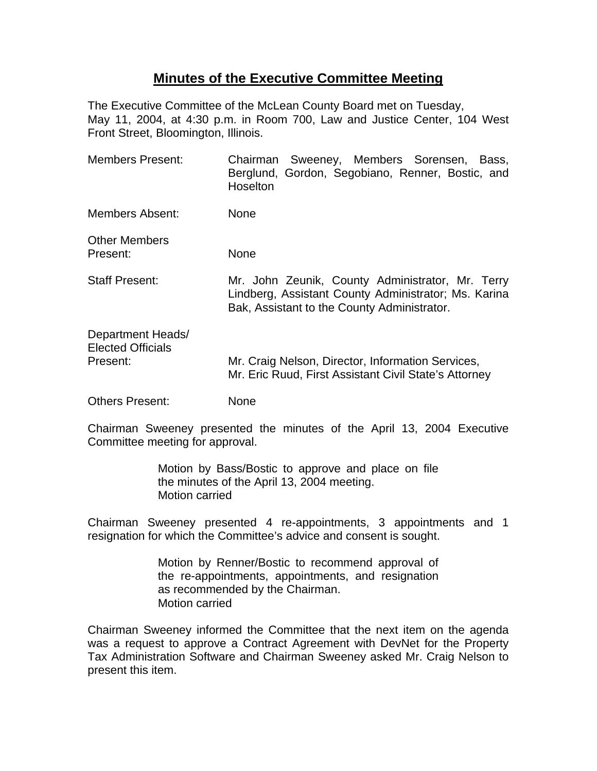## **Minutes of the Executive Committee Meeting**

The Executive Committee of the McLean County Board met on Tuesday, May 11, 2004, at 4:30 p.m. in Room 700, Law and Justice Center, 104 West Front Street, Bloomington, Illinois.

| <b>Members Present:</b>                                   | Chairman Sweeney, Members Sorensen, Bass,<br>Berglund, Gordon, Segobiano, Renner, Bostic, and<br>Hoselton                                               |
|-----------------------------------------------------------|---------------------------------------------------------------------------------------------------------------------------------------------------------|
| Members Absent:                                           | <b>None</b>                                                                                                                                             |
| <b>Other Members</b><br>Present:                          | None                                                                                                                                                    |
| <b>Staff Present:</b>                                     | Mr. John Zeunik, County Administrator, Mr. Terry<br>Lindberg, Assistant County Administrator; Ms. Karina<br>Bak, Assistant to the County Administrator. |
| Department Heads/<br><b>Elected Officials</b><br>Present: | Mr. Craig Nelson, Director, Information Services,<br>Mr. Eric Ruud, First Assistant Civil State's Attorney                                              |
| <b>Others Present:</b>                                    | None                                                                                                                                                    |

Chairman Sweeney presented the minutes of the April 13, 2004 Executive Committee meeting for approval.

> Motion by Bass/Bostic to approve and place on file the minutes of the April 13, 2004 meeting. Motion carried

Chairman Sweeney presented 4 re-appointments, 3 appointments and 1 resignation for which the Committee's advice and consent is sought.

> Motion by Renner/Bostic to recommend approval of the re-appointments, appointments, and resignation as recommended by the Chairman. Motion carried

Chairman Sweeney informed the Committee that the next item on the agenda was a request to approve a Contract Agreement with DevNet for the Property Tax Administration Software and Chairman Sweeney asked Mr. Craig Nelson to present this item.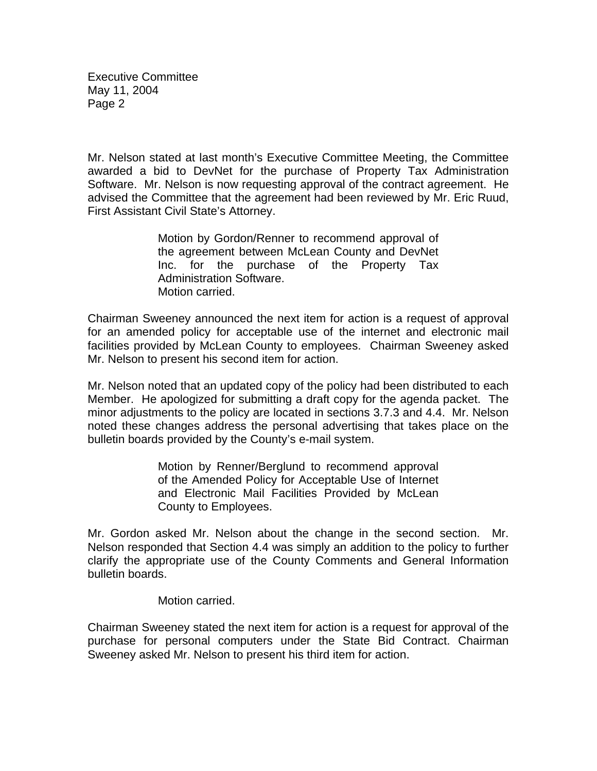Mr. Nelson stated at last month's Executive Committee Meeting, the Committee awarded a bid to DevNet for the purchase of Property Tax Administration Software. Mr. Nelson is now requesting approval of the contract agreement. He advised the Committee that the agreement had been reviewed by Mr. Eric Ruud, First Assistant Civil State's Attorney.

> Motion by Gordon/Renner to recommend approval of the agreement between McLean County and DevNet Inc. for the purchase of the Property Tax Administration Software. Motion carried.

Chairman Sweeney announced the next item for action is a request of approval for an amended policy for acceptable use of the internet and electronic mail facilities provided by McLean County to employees. Chairman Sweeney asked Mr. Nelson to present his second item for action.

Mr. Nelson noted that an updated copy of the policy had been distributed to each Member. He apologized for submitting a draft copy for the agenda packet. The minor adjustments to the policy are located in sections 3.7.3 and 4.4. Mr. Nelson noted these changes address the personal advertising that takes place on the bulletin boards provided by the County's e-mail system.

> Motion by Renner/Berglund to recommend approval of the Amended Policy for Acceptable Use of Internet and Electronic Mail Facilities Provided by McLean County to Employees.

Mr. Gordon asked Mr. Nelson about the change in the second section. Mr. Nelson responded that Section 4.4 was simply an addition to the policy to further clarify the appropriate use of the County Comments and General Information bulletin boards.

Motion carried.

Chairman Sweeney stated the next item for action is a request for approval of the purchase for personal computers under the State Bid Contract. Chairman Sweeney asked Mr. Nelson to present his third item for action.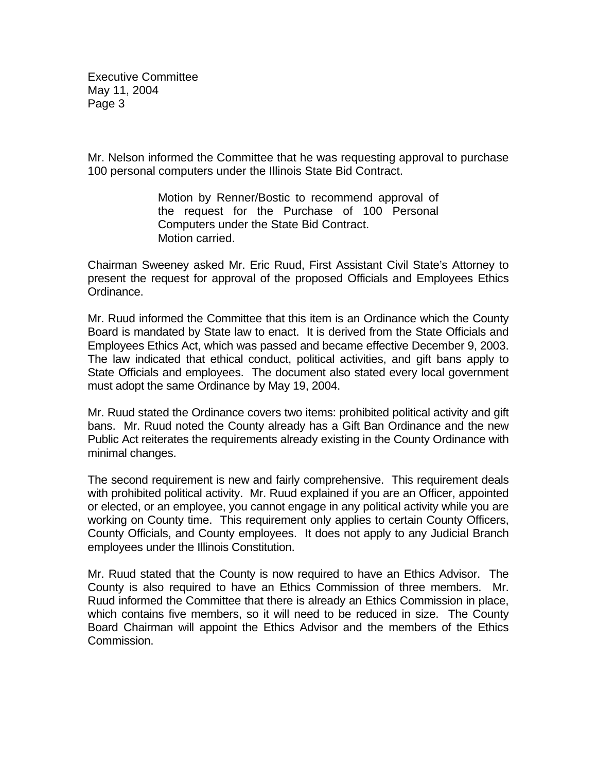Mr. Nelson informed the Committee that he was requesting approval to purchase 100 personal computers under the Illinois State Bid Contract.

> Motion by Renner/Bostic to recommend approval of the request for the Purchase of 100 Personal Computers under the State Bid Contract. Motion carried.

Chairman Sweeney asked Mr. Eric Ruud, First Assistant Civil State's Attorney to present the request for approval of the proposed Officials and Employees Ethics Ordinance.

Mr. Ruud informed the Committee that this item is an Ordinance which the County Board is mandated by State law to enact. It is derived from the State Officials and Employees Ethics Act, which was passed and became effective December 9, 2003. The law indicated that ethical conduct, political activities, and gift bans apply to State Officials and employees. The document also stated every local government must adopt the same Ordinance by May 19, 2004.

Mr. Ruud stated the Ordinance covers two items: prohibited political activity and gift bans. Mr. Ruud noted the County already has a Gift Ban Ordinance and the new Public Act reiterates the requirements already existing in the County Ordinance with minimal changes.

The second requirement is new and fairly comprehensive. This requirement deals with prohibited political activity. Mr. Ruud explained if you are an Officer, appointed or elected, or an employee, you cannot engage in any political activity while you are working on County time. This requirement only applies to certain County Officers, County Officials, and County employees. It does not apply to any Judicial Branch employees under the Illinois Constitution.

Mr. Ruud stated that the County is now required to have an Ethics Advisor. The County is also required to have an Ethics Commission of three members. Mr. Ruud informed the Committee that there is already an Ethics Commission in place, which contains five members, so it will need to be reduced in size. The County Board Chairman will appoint the Ethics Advisor and the members of the Ethics Commission.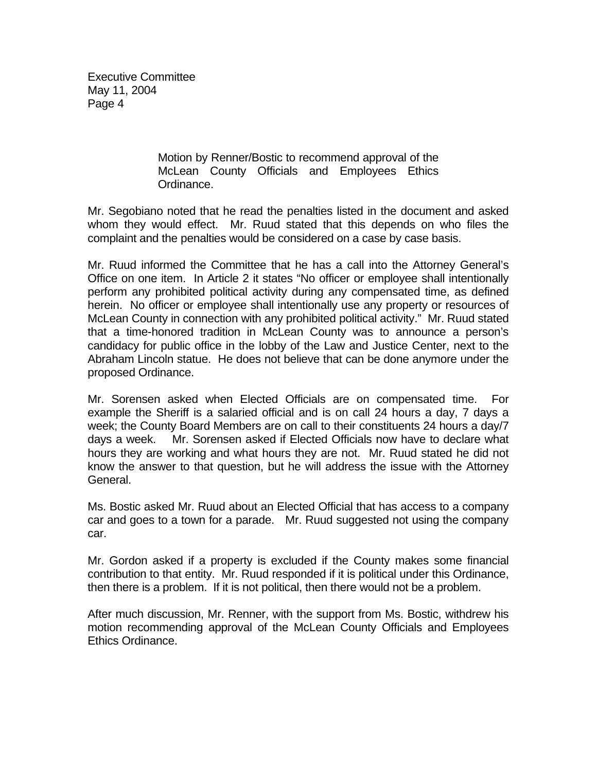> Motion by Renner/Bostic to recommend approval of the McLean County Officials and Employees Ethics Ordinance.

Mr. Segobiano noted that he read the penalties listed in the document and asked whom they would effect. Mr. Ruud stated that this depends on who files the complaint and the penalties would be considered on a case by case basis.

Mr. Ruud informed the Committee that he has a call into the Attorney General's Office on one item. In Article 2 it states "No officer or employee shall intentionally perform any prohibited political activity during any compensated time, as defined herein. No officer or employee shall intentionally use any property or resources of McLean County in connection with any prohibited political activity." Mr. Ruud stated that a time-honored tradition in McLean County was to announce a person's candidacy for public office in the lobby of the Law and Justice Center, next to the Abraham Lincoln statue. He does not believe that can be done anymore under the proposed Ordinance.

Mr. Sorensen asked when Elected Officials are on compensated time. For example the Sheriff is a salaried official and is on call 24 hours a day, 7 days a week; the County Board Members are on call to their constituents 24 hours a day/7 days a week. Mr. Sorensen asked if Elected Officials now have to declare what hours they are working and what hours they are not. Mr. Ruud stated he did not know the answer to that question, but he will address the issue with the Attorney General.

Ms. Bostic asked Mr. Ruud about an Elected Official that has access to a company car and goes to a town for a parade. Mr. Ruud suggested not using the company car.

Mr. Gordon asked if a property is excluded if the County makes some financial contribution to that entity. Mr. Ruud responded if it is political under this Ordinance, then there is a problem. If it is not political, then there would not be a problem.

After much discussion, Mr. Renner, with the support from Ms. Bostic, withdrew his motion recommending approval of the McLean County Officials and Employees Ethics Ordinance.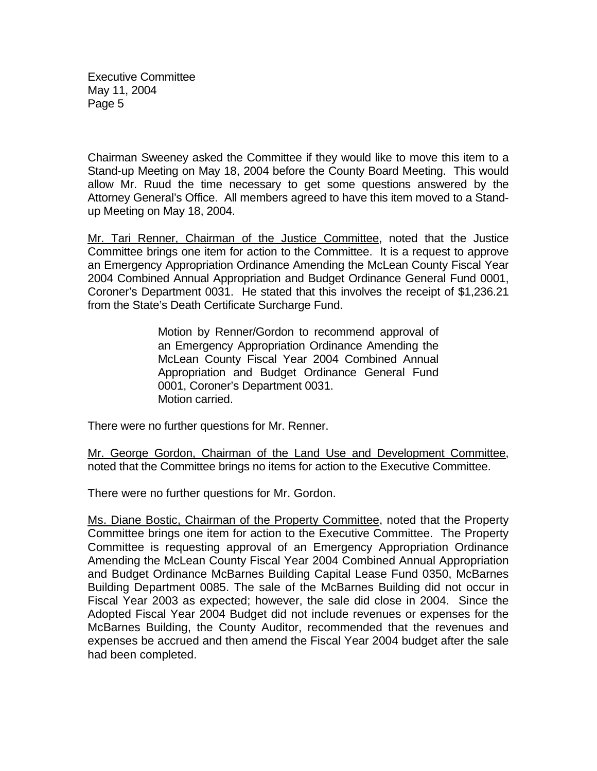Chairman Sweeney asked the Committee if they would like to move this item to a Stand-up Meeting on May 18, 2004 before the County Board Meeting. This would allow Mr. Ruud the time necessary to get some questions answered by the Attorney General's Office. All members agreed to have this item moved to a Standup Meeting on May 18, 2004.

Mr. Tari Renner, Chairman of the Justice Committee, noted that the Justice Committee brings one item for action to the Committee. It is a request to approve an Emergency Appropriation Ordinance Amending the McLean County Fiscal Year 2004 Combined Annual Appropriation and Budget Ordinance General Fund 0001, Coroner's Department 0031. He stated that this involves the receipt of \$1,236.21 from the State's Death Certificate Surcharge Fund.

> Motion by Renner/Gordon to recommend approval of an Emergency Appropriation Ordinance Amending the McLean County Fiscal Year 2004 Combined Annual Appropriation and Budget Ordinance General Fund 0001, Coroner's Department 0031. Motion carried.

There were no further questions for Mr. Renner.

Mr. George Gordon, Chairman of the Land Use and Development Committee, noted that the Committee brings no items for action to the Executive Committee.

There were no further questions for Mr. Gordon.

Ms. Diane Bostic, Chairman of the Property Committee, noted that the Property Committee brings one item for action to the Executive Committee. The Property Committee is requesting approval of an Emergency Appropriation Ordinance Amending the McLean County Fiscal Year 2004 Combined Annual Appropriation and Budget Ordinance McBarnes Building Capital Lease Fund 0350, McBarnes Building Department 0085. The sale of the McBarnes Building did not occur in Fiscal Year 2003 as expected; however, the sale did close in 2004. Since the Adopted Fiscal Year 2004 Budget did not include revenues or expenses for the McBarnes Building, the County Auditor, recommended that the revenues and expenses be accrued and then amend the Fiscal Year 2004 budget after the sale had been completed.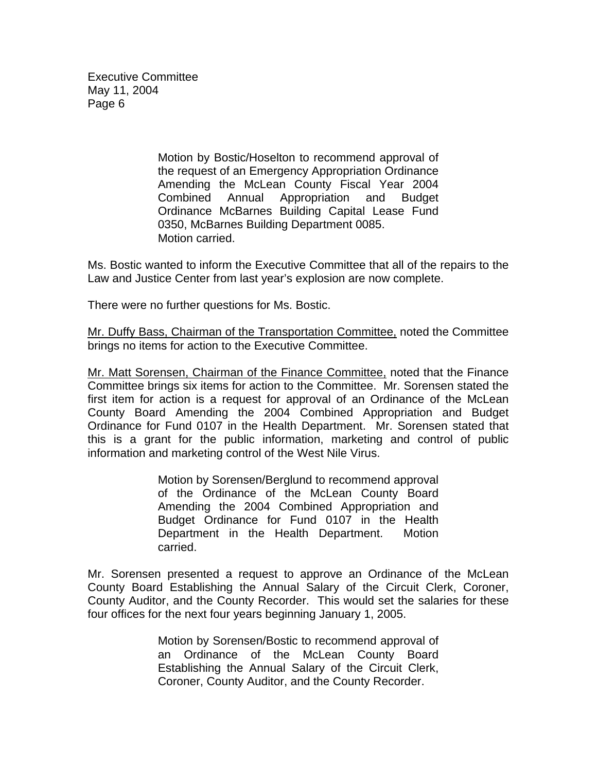> Motion by Bostic/Hoselton to recommend approval of the request of an Emergency Appropriation Ordinance Amending the McLean County Fiscal Year 2004 Combined Annual Appropriation and Budget Ordinance McBarnes Building Capital Lease Fund 0350, McBarnes Building Department 0085. Motion carried.

Ms. Bostic wanted to inform the Executive Committee that all of the repairs to the Law and Justice Center from last year's explosion are now complete.

There were no further questions for Ms. Bostic.

Mr. Duffy Bass, Chairman of the Transportation Committee, noted the Committee brings no items for action to the Executive Committee.

Mr. Matt Sorensen, Chairman of the Finance Committee, noted that the Finance Committee brings six items for action to the Committee. Mr. Sorensen stated the first item for action is a request for approval of an Ordinance of the McLean County Board Amending the 2004 Combined Appropriation and Budget Ordinance for Fund 0107 in the Health Department. Mr. Sorensen stated that this is a grant for the public information, marketing and control of public information and marketing control of the West Nile Virus.

> Motion by Sorensen/Berglund to recommend approval of the Ordinance of the McLean County Board Amending the 2004 Combined Appropriation and Budget Ordinance for Fund 0107 in the Health Department in the Health Department. Motion carried.

Mr. Sorensen presented a request to approve an Ordinance of the McLean County Board Establishing the Annual Salary of the Circuit Clerk, Coroner, County Auditor, and the County Recorder. This would set the salaries for these four offices for the next four years beginning January 1, 2005.

> Motion by Sorensen/Bostic to recommend approval of an Ordinance of the McLean County Board Establishing the Annual Salary of the Circuit Clerk, Coroner, County Auditor, and the County Recorder.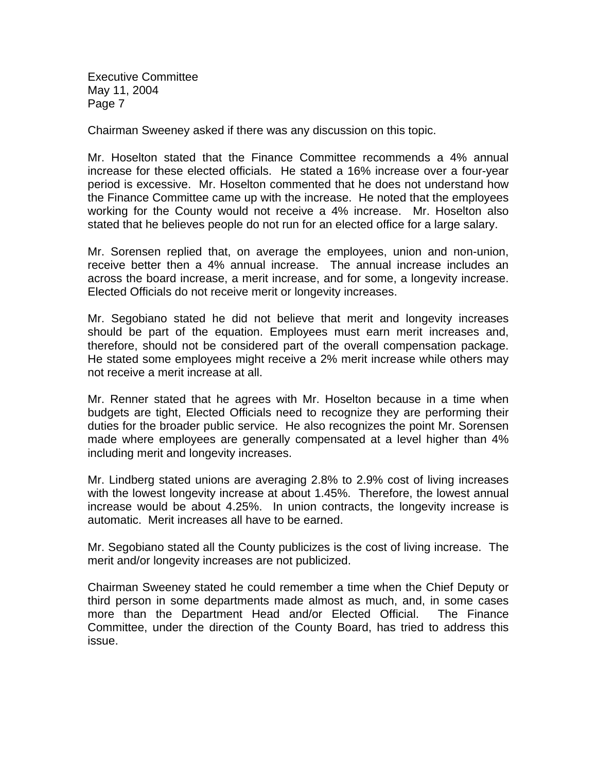Chairman Sweeney asked if there was any discussion on this topic.

Mr. Hoselton stated that the Finance Committee recommends a 4% annual increase for these elected officials. He stated a 16% increase over a four-year period is excessive. Mr. Hoselton commented that he does not understand how the Finance Committee came up with the increase. He noted that the employees working for the County would not receive a 4% increase. Mr. Hoselton also stated that he believes people do not run for an elected office for a large salary.

Mr. Sorensen replied that, on average the employees, union and non-union, receive better then a 4% annual increase. The annual increase includes an across the board increase, a merit increase, and for some, a longevity increase. Elected Officials do not receive merit or longevity increases.

Mr. Segobiano stated he did not believe that merit and longevity increases should be part of the equation. Employees must earn merit increases and, therefore, should not be considered part of the overall compensation package. He stated some employees might receive a 2% merit increase while others may not receive a merit increase at all.

Mr. Renner stated that he agrees with Mr. Hoselton because in a time when budgets are tight, Elected Officials need to recognize they are performing their duties for the broader public service. He also recognizes the point Mr. Sorensen made where employees are generally compensated at a level higher than 4% including merit and longevity increases.

Mr. Lindberg stated unions are averaging 2.8% to 2.9% cost of living increases with the lowest longevity increase at about 1.45%. Therefore, the lowest annual increase would be about 4.25%. In union contracts, the longevity increase is automatic. Merit increases all have to be earned.

Mr. Segobiano stated all the County publicizes is the cost of living increase. The merit and/or longevity increases are not publicized.

Chairman Sweeney stated he could remember a time when the Chief Deputy or third person in some departments made almost as much, and, in some cases more than the Department Head and/or Elected Official. The Finance Committee, under the direction of the County Board, has tried to address this issue.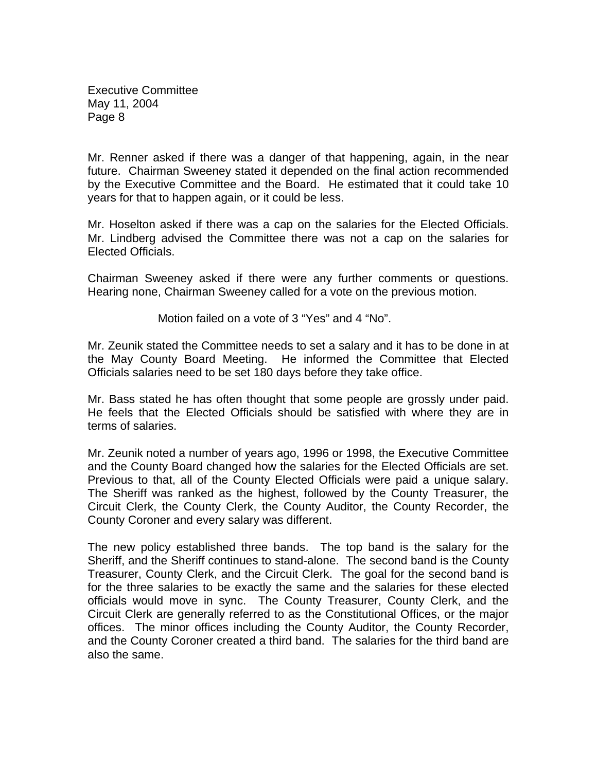Mr. Renner asked if there was a danger of that happening, again, in the near future. Chairman Sweeney stated it depended on the final action recommended by the Executive Committee and the Board. He estimated that it could take 10 years for that to happen again, or it could be less.

Mr. Hoselton asked if there was a cap on the salaries for the Elected Officials. Mr. Lindberg advised the Committee there was not a cap on the salaries for Elected Officials.

Chairman Sweeney asked if there were any further comments or questions. Hearing none, Chairman Sweeney called for a vote on the previous motion.

Motion failed on a vote of 3 "Yes" and 4 "No".

Mr. Zeunik stated the Committee needs to set a salary and it has to be done in at the May County Board Meeting. He informed the Committee that Elected Officials salaries need to be set 180 days before they take office.

Mr. Bass stated he has often thought that some people are grossly under paid. He feels that the Elected Officials should be satisfied with where they are in terms of salaries.

Mr. Zeunik noted a number of years ago, 1996 or 1998, the Executive Committee and the County Board changed how the salaries for the Elected Officials are set. Previous to that, all of the County Elected Officials were paid a unique salary. The Sheriff was ranked as the highest, followed by the County Treasurer, the Circuit Clerk, the County Clerk, the County Auditor, the County Recorder, the County Coroner and every salary was different.

The new policy established three bands. The top band is the salary for the Sheriff, and the Sheriff continues to stand-alone. The second band is the County Treasurer, County Clerk, and the Circuit Clerk. The goal for the second band is for the three salaries to be exactly the same and the salaries for these elected officials would move in sync. The County Treasurer, County Clerk, and the Circuit Clerk are generally referred to as the Constitutional Offices, or the major offices. The minor offices including the County Auditor, the County Recorder, and the County Coroner created a third band. The salaries for the third band are also the same.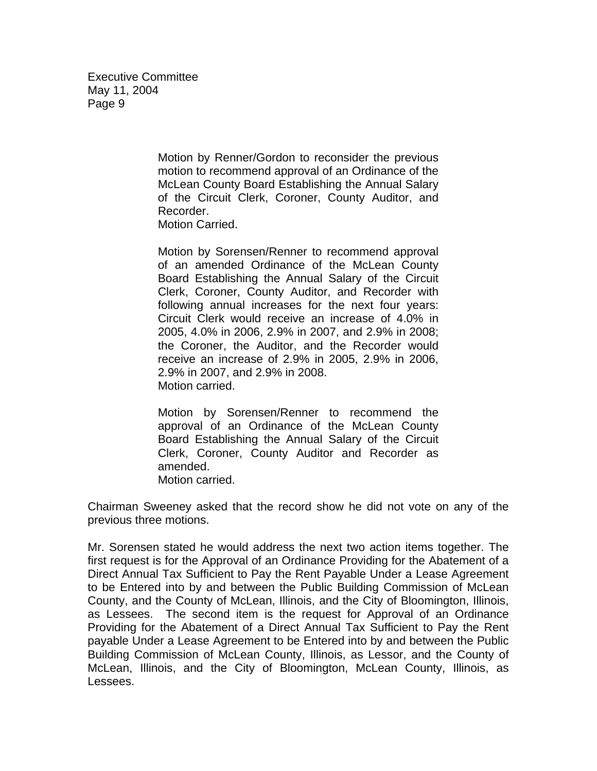> Motion by Renner/Gordon to reconsider the previous motion to recommend approval of an Ordinance of the McLean County Board Establishing the Annual Salary of the Circuit Clerk, Coroner, County Auditor, and Recorder. Motion Carried.

> Motion by Sorensen/Renner to recommend approval of an amended Ordinance of the McLean County Board Establishing the Annual Salary of the Circuit Clerk, Coroner, County Auditor, and Recorder with following annual increases for the next four years: Circuit Clerk would receive an increase of 4.0% in 2005, 4.0% in 2006, 2.9% in 2007, and 2.9% in 2008; the Coroner, the Auditor, and the Recorder would receive an increase of 2.9% in 2005, 2.9% in 2006, 2.9% in 2007, and 2.9% in 2008. Motion carried.

> Motion by Sorensen/Renner to recommend the approval of an Ordinance of the McLean County Board Establishing the Annual Salary of the Circuit Clerk, Coroner, County Auditor and Recorder as amended. Motion carried.

Chairman Sweeney asked that the record show he did not vote on any of the previous three motions.

Mr. Sorensen stated he would address the next two action items together. The first request is for the Approval of an Ordinance Providing for the Abatement of a Direct Annual Tax Sufficient to Pay the Rent Payable Under a Lease Agreement to be Entered into by and between the Public Building Commission of McLean County, and the County of McLean, Illinois, and the City of Bloomington, Illinois, as Lessees. The second item is the request for Approval of an Ordinance Providing for the Abatement of a Direct Annual Tax Sufficient to Pay the Rent payable Under a Lease Agreement to be Entered into by and between the Public Building Commission of McLean County, Illinois, as Lessor, and the County of McLean, Illinois, and the City of Bloomington, McLean County, Illinois, as Lessees.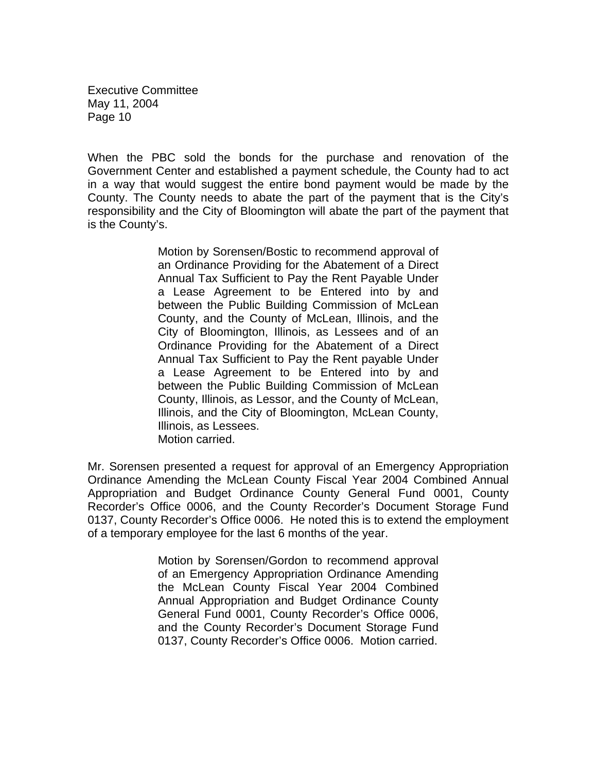When the PBC sold the bonds for the purchase and renovation of the Government Center and established a payment schedule, the County had to act in a way that would suggest the entire bond payment would be made by the County. The County needs to abate the part of the payment that is the City's responsibility and the City of Bloomington will abate the part of the payment that is the County's.

> Motion by Sorensen/Bostic to recommend approval of an Ordinance Providing for the Abatement of a Direct Annual Tax Sufficient to Pay the Rent Payable Under a Lease Agreement to be Entered into by and between the Public Building Commission of McLean County, and the County of McLean, Illinois, and the City of Bloomington, Illinois, as Lessees and of an Ordinance Providing for the Abatement of a Direct Annual Tax Sufficient to Pay the Rent payable Under a Lease Agreement to be Entered into by and between the Public Building Commission of McLean County, Illinois, as Lessor, and the County of McLean, Illinois, and the City of Bloomington, McLean County, Illinois, as Lessees. Motion carried.

Mr. Sorensen presented a request for approval of an Emergency Appropriation Ordinance Amending the McLean County Fiscal Year 2004 Combined Annual Appropriation and Budget Ordinance County General Fund 0001, County Recorder's Office 0006, and the County Recorder's Document Storage Fund 0137, County Recorder's Office 0006. He noted this is to extend the employment of a temporary employee for the last 6 months of the year.

> Motion by Sorensen/Gordon to recommend approval of an Emergency Appropriation Ordinance Amending the McLean County Fiscal Year 2004 Combined Annual Appropriation and Budget Ordinance County General Fund 0001, County Recorder's Office 0006, and the County Recorder's Document Storage Fund 0137, County Recorder's Office 0006. Motion carried.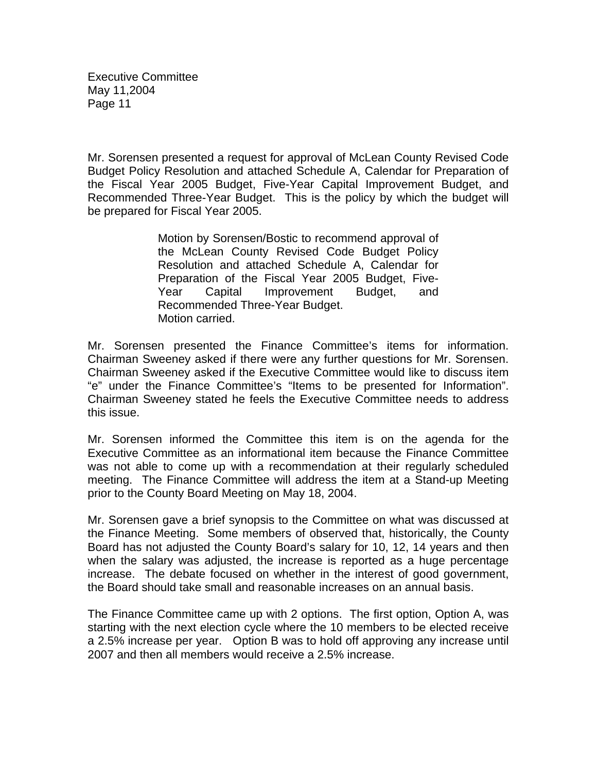Mr. Sorensen presented a request for approval of McLean County Revised Code Budget Policy Resolution and attached Schedule A, Calendar for Preparation of the Fiscal Year 2005 Budget, Five-Year Capital Improvement Budget, and Recommended Three-Year Budget. This is the policy by which the budget will be prepared for Fiscal Year 2005.

> Motion by Sorensen/Bostic to recommend approval of the McLean County Revised Code Budget Policy Resolution and attached Schedule A, Calendar for Preparation of the Fiscal Year 2005 Budget, Five-Year Capital Improvement Budget, and Recommended Three-Year Budget. Motion carried.

Mr. Sorensen presented the Finance Committee's items for information. Chairman Sweeney asked if there were any further questions for Mr. Sorensen. Chairman Sweeney asked if the Executive Committee would like to discuss item "e" under the Finance Committee's "Items to be presented for Information". Chairman Sweeney stated he feels the Executive Committee needs to address this issue.

Mr. Sorensen informed the Committee this item is on the agenda for the Executive Committee as an informational item because the Finance Committee was not able to come up with a recommendation at their regularly scheduled meeting. The Finance Committee will address the item at a Stand-up Meeting prior to the County Board Meeting on May 18, 2004.

Mr. Sorensen gave a brief synopsis to the Committee on what was discussed at the Finance Meeting. Some members of observed that, historically, the County Board has not adjusted the County Board's salary for 10, 12, 14 years and then when the salary was adjusted, the increase is reported as a huge percentage increase. The debate focused on whether in the interest of good government, the Board should take small and reasonable increases on an annual basis.

The Finance Committee came up with 2 options. The first option, Option A, was starting with the next election cycle where the 10 members to be elected receive a 2.5% increase per year. Option B was to hold off approving any increase until 2007 and then all members would receive a 2.5% increase.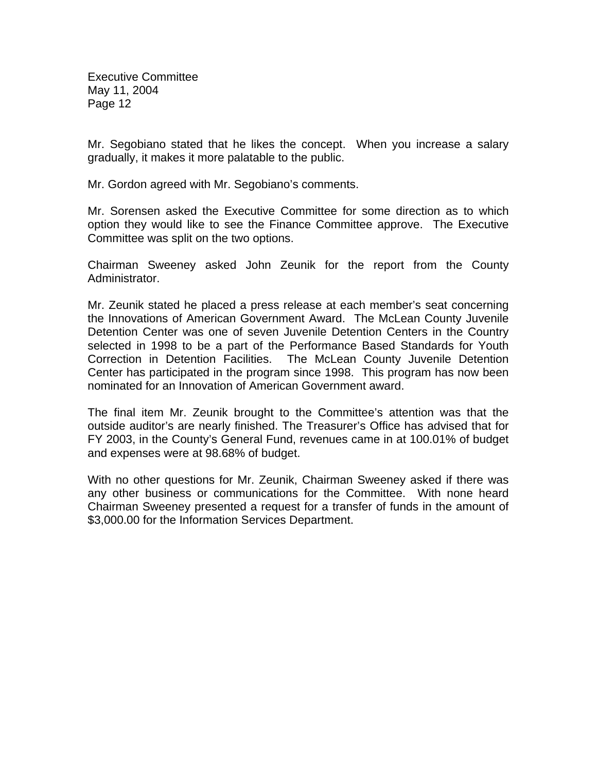Mr. Segobiano stated that he likes the concept. When you increase a salary gradually, it makes it more palatable to the public.

Mr. Gordon agreed with Mr. Segobiano's comments.

Mr. Sorensen asked the Executive Committee for some direction as to which option they would like to see the Finance Committee approve. The Executive Committee was split on the two options.

Chairman Sweeney asked John Zeunik for the report from the County Administrator.

Mr. Zeunik stated he placed a press release at each member's seat concerning the Innovations of American Government Award. The McLean County Juvenile Detention Center was one of seven Juvenile Detention Centers in the Country selected in 1998 to be a part of the Performance Based Standards for Youth Correction in Detention Facilities. The McLean County Juvenile Detention Center has participated in the program since 1998. This program has now been nominated for an Innovation of American Government award.

The final item Mr. Zeunik brought to the Committee's attention was that the outside auditor's are nearly finished. The Treasurer's Office has advised that for FY 2003, in the County's General Fund, revenues came in at 100.01% of budget and expenses were at 98.68% of budget.

With no other questions for Mr. Zeunik, Chairman Sweeney asked if there was any other business or communications for the Committee. With none heard Chairman Sweeney presented a request for a transfer of funds in the amount of \$3,000.00 for the Information Services Department.